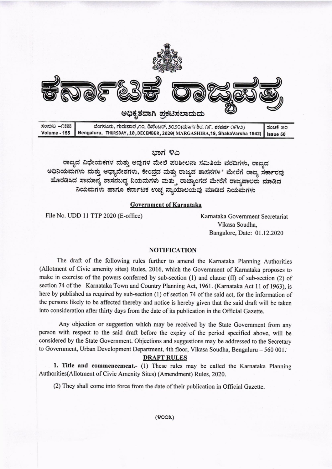

ಭಾಗ ೪ಎ

ರಾಜ್ಯದ ವಿಧೇಯಕಗಳ ಮತ್ತು ಅವುಗಳ ಮೇಲೆ ಪರಿಶೀಲನಾ ಸಮಿತಿಯ ವರದಿಗಳು, ರಾಜ್ಯದ ಅಧಿನಿಯಮಗಳು ಮತ್ತು ಆಧ್ಯಾದೇಶಗಳು, ಕೇಂದ್ರದ ಮತ್ತು ರಾಜ್ಯದ ಶಾಸನಗಳ ಮೇರೆಗೆ ರಾಜ್ಯ ಸರ್ಕಾರವು ಹೊರಡಿಸಿದ ಸಾಮಾನ್ಯ ಶಾಸನಬದ್ಧ ನಿಯಮಗಳು ಮತ್ತು ರಾಜ್ಯಾಂಗದ ಮೇರೆಗೆ ರಾಜ್ಯಪಾಲರು ಮಾಡಿದ ನಿಯಮಗಳು ಹಾಗೂ ಕರ್ನಾಟಕ ಉಚ್ಛ ನ್ಯಾಯಾಲಯವು ಮಾಡಿದ ನಿಯಮಗಳು

## Government of Karnataka

File No. UDD 11 TTP 2020 (E-office) Karnataka Government Secretariat

Vikasa Soudha, Bangalore, Date: 01.12.2020

#### NOTIFICATION

The draft of the following rules further to amend the Kamataka Planning Authorities (Allotment of Civic amenity sites) Rules, 2016, which the Government of Kamataka proposes to make in exercise of the powers conferred by sub-section (1) and clause (ff) of sub-section (2) of section 74 of the Karnataka Town and Country Planning Act, 1961. (Karnataka Act 11 of 1963), is here by published as required by sub-section (1) of section 74 of the said act, for the information of the persons likely to be affected thereby and notice is hereby given that the said draft will be taken into consideration after thirty days from the date of its pubtication in the Official Gazette.

Any objection or suggestion which may be received by the State Govemment from any person with respect to the said draft before the expiry of the period specified above, will be considered by the State Government. Objections and suggestions may be addressed to the Secretary to Government, Urban Development Department, 4th floor, Vikasa Soudha, Bengaluru - 560 001.

## **DRAFT RULES**

1. Title and commencement.- (1) These rules may be called the Karnataka Planning Authorities(Allotment of Civic Amenity Sites) (Amendment) Rules, 2020.

(2) They shall come into force from the date oftheir publication in Oflicial Gazette.

(9ooa,)